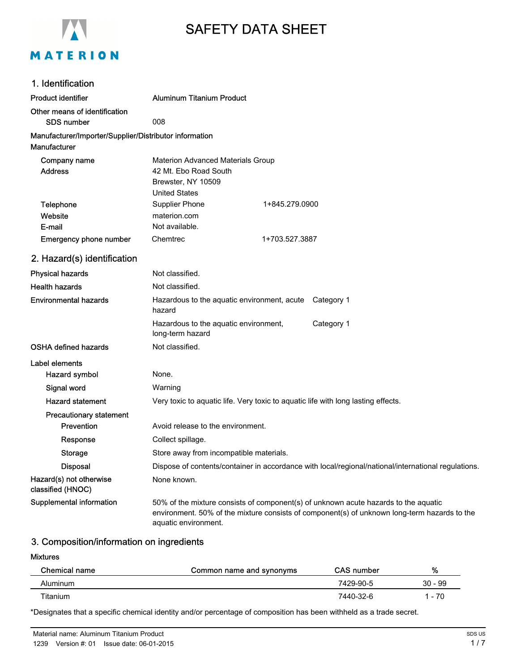

# SAFETY DATA SHEET

## 1. Identification

| <b>Product identifier</b>                              | Aluminum Titanium Product                                                                                                                                                                                   |  |
|--------------------------------------------------------|-------------------------------------------------------------------------------------------------------------------------------------------------------------------------------------------------------------|--|
| Other means of identification<br>SDS number            | 008                                                                                                                                                                                                         |  |
| Manufacturer/Importer/Supplier/Distributor information |                                                                                                                                                                                                             |  |
| Manufacturer                                           |                                                                                                                                                                                                             |  |
| Company name                                           | <b>Materion Advanced Materials Group</b>                                                                                                                                                                    |  |
| <b>Address</b>                                         | 42 Mt. Ebo Road South                                                                                                                                                                                       |  |
|                                                        | Brewster, NY 10509                                                                                                                                                                                          |  |
|                                                        | <b>United States</b>                                                                                                                                                                                        |  |
| Telephone<br>Website                                   | 1+845.279.0900<br>Supplier Phone<br>materion.com                                                                                                                                                            |  |
| E-mail                                                 | Not available.                                                                                                                                                                                              |  |
| Emergency phone number                                 | Chemtrec<br>1+703.527.3887                                                                                                                                                                                  |  |
|                                                        |                                                                                                                                                                                                             |  |
| 2. Hazard(s) identification                            |                                                                                                                                                                                                             |  |
| <b>Physical hazards</b>                                | Not classified.                                                                                                                                                                                             |  |
| <b>Health hazards</b>                                  | Not classified.                                                                                                                                                                                             |  |
| <b>Environmental hazards</b>                           | Hazardous to the aquatic environment, acute<br>Category 1<br>hazard                                                                                                                                         |  |
|                                                        | Category 1<br>Hazardous to the aquatic environment,<br>long-term hazard                                                                                                                                     |  |
| <b>OSHA defined hazards</b>                            | Not classified.                                                                                                                                                                                             |  |
| Label elements                                         |                                                                                                                                                                                                             |  |
| Hazard symbol                                          | None.                                                                                                                                                                                                       |  |
| Signal word                                            | Warning                                                                                                                                                                                                     |  |
| <b>Hazard statement</b>                                | Very toxic to aquatic life. Very toxic to aquatic life with long lasting effects.                                                                                                                           |  |
| <b>Precautionary statement</b>                         |                                                                                                                                                                                                             |  |
| Prevention                                             | Avoid release to the environment.                                                                                                                                                                           |  |
| Response                                               | Collect spillage.                                                                                                                                                                                           |  |
| <b>Storage</b>                                         | Store away from incompatible materials.                                                                                                                                                                     |  |
| <b>Disposal</b>                                        | Dispose of contents/container in accordance with local/regional/national/international regulations.                                                                                                         |  |
| Hazard(s) not otherwise<br>classified (HNOC)           | None known.                                                                                                                                                                                                 |  |
| Supplemental information                               | 50% of the mixture consists of component(s) of unknown acute hazards to the aquatic<br>environment. 50% of the mixture consists of component(s) of unknown long-term hazards to the<br>aquatic environment. |  |

# 3. Composition/information on ingredients

#### Mixtures

| Chemical name | Common name and synonyms | <b>CAS number</b> | %         |
|---------------|--------------------------|-------------------|-----------|
| Aluminum      |                          | 7429-90-5         | $30 - 99$ |
| Titanium      |                          | 7440-32-6         | 1 - 70    |

\*Designates that a specific chemical identity and/or percentage of composition has been withheld as a trade secret.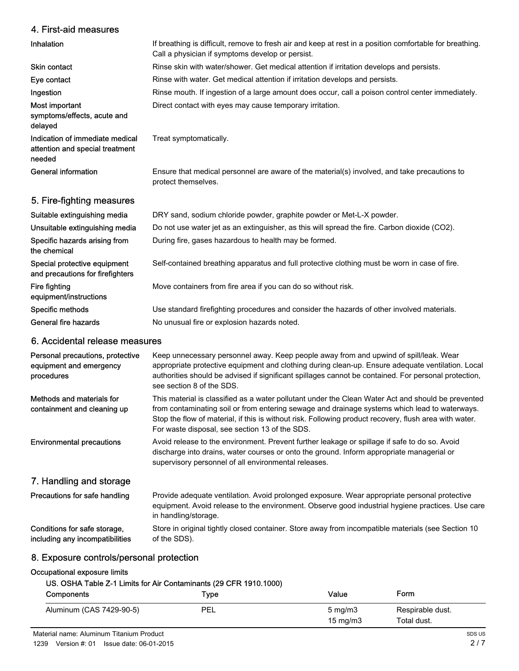## 4. First-aid measures

| Inhalation                                                                   | If breathing is difficult, remove to fresh air and keep at rest in a position comfortable for breathing.<br>Call a physician if symptoms develop or persist. |  |
|------------------------------------------------------------------------------|--------------------------------------------------------------------------------------------------------------------------------------------------------------|--|
| <b>Skin contact</b>                                                          | Rinse skin with water/shower. Get medical attention if irritation develops and persists.                                                                     |  |
| Eye contact                                                                  | Rinse with water. Get medical attention if irritation develops and persists.                                                                                 |  |
| Ingestion                                                                    | Rinse mouth. If ingestion of a large amount does occur, call a poison control center immediately.                                                            |  |
| Most important<br>symptoms/effects, acute and<br>delayed                     | Direct contact with eyes may cause temporary irritation.                                                                                                     |  |
| Indication of immediate medical<br>attention and special treatment<br>needed | Treat symptomatically.                                                                                                                                       |  |
| General information                                                          | Ensure that medical personnel are aware of the material(s) involved, and take precautions to<br>protect themselves.                                          |  |
| 5. Fire-fighting measures                                                    |                                                                                                                                                              |  |
| Suitable extinguishing media                                                 | DRY sand, sodium chloride powder, graphite powder or Met-L-X powder.                                                                                         |  |
| Unsuitable extinguishing media                                               | Do not use water jet as an extinguisher, as this will spread the fire. Carbon dioxide (CO2).                                                                 |  |
| Specific hazards arising from<br>the chemical                                | During fire, gases hazardous to health may be formed.                                                                                                        |  |

Special protective equipment Self-contained breathing apparatus and full protective clothing must be worn in case of fire.

Fire fighting **Fire fighting** Move containers from fire area if you can do so without risk.

Specific methods **Specific methods** Use standard firefighting procedures and consider the hazards of other involved materials. General fire hazards No unusual fire or explosion hazards noted.

# 6. Accidental release measures

and precautions for firefighters

equipment/instructions

| Personal precautions, protective<br>equipment and emergency<br>procedures | Keep unnecessary personnel away. Keep people away from and upwind of spill/leak. Wear<br>appropriate protective equipment and clothing during clean-up. Ensure adequate ventilation. Local<br>authorities should be advised if significant spillages cannot be contained. For personal protection,<br>see section 8 of the SDS.                                 |
|---------------------------------------------------------------------------|-----------------------------------------------------------------------------------------------------------------------------------------------------------------------------------------------------------------------------------------------------------------------------------------------------------------------------------------------------------------|
| Methods and materials for<br>containment and cleaning up                  | This material is classified as a water pollutant under the Clean Water Act and should be prevented<br>from contaminating soil or from entering sewage and drainage systems which lead to waterways.<br>Stop the flow of material, if this is without risk. Following product recovery, flush area with water.<br>For waste disposal, see section 13 of the SDS. |
| <b>Environmental precautions</b>                                          | Avoid release to the environment. Prevent further leakage or spillage if safe to do so. Avoid<br>discharge into drains, water courses or onto the ground. Inform appropriate managerial or<br>supervisory personnel of all environmental releases.                                                                                                              |
| 7. Handling and storage                                                   |                                                                                                                                                                                                                                                                                                                                                                 |
| Precautions for safe handling                                             | Provide adequate ventilation. Avoid prolonged exposure. Wear appropriate personal protective<br>equipment. Avoid release to the environment. Observe good industrial hygiene practices. Use care<br>in handling/storage.                                                                                                                                        |
| Conditions for safe storage,<br>including any incompatibilities           | Store in original tightly closed container. Store away from incompatible materials (see Section 10<br>of the SDS).                                                                                                                                                                                                                                              |

# 8. Exposure controls/personal protection

### Occupational exposure limits

# US. OSHA Table Z-1 Limits for Air Contaminants (29 CFR 1910.1000)

| Components               | Type | Value             | Form             |
|--------------------------|------|-------------------|------------------|
| Aluminum (CAS 7429-90-5) | PEL  | $5 \text{ mg/m}$  | Respirable dust. |
|                          |      | $15 \text{ mg/m}$ | Total dust.      |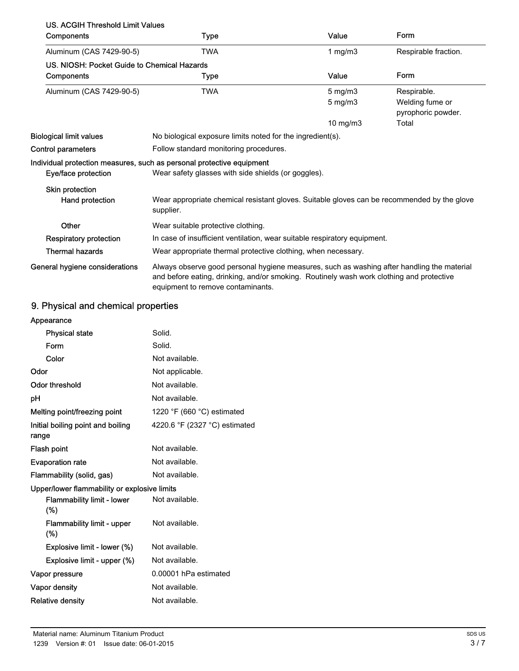# US. ACGIH Threshold Limit Values

| Components                                  | Type                                                                                                                                                                                                                        | Value                            | Form                                                 |
|---------------------------------------------|-----------------------------------------------------------------------------------------------------------------------------------------------------------------------------------------------------------------------------|----------------------------------|------------------------------------------------------|
| Aluminum (CAS 7429-90-5)                    | <b>TWA</b>                                                                                                                                                                                                                  | 1 $mg/m3$                        | Respirable fraction.                                 |
| US. NIOSH: Pocket Guide to Chemical Hazards |                                                                                                                                                                                                                             |                                  |                                                      |
| Components                                  | Type                                                                                                                                                                                                                        | Value                            | Form                                                 |
| Aluminum (CAS 7429-90-5)                    | <b>TWA</b>                                                                                                                                                                                                                  | $5$ mg/m $3$<br>$5 \text{ mg/m}$ | Respirable.<br>Welding fume or<br>pyrophoric powder. |
|                                             |                                                                                                                                                                                                                             | 10 mg/m3                         | Total                                                |
| <b>Biological limit values</b>              | No biological exposure limits noted for the ingredient(s).                                                                                                                                                                  |                                  |                                                      |
| Control parameters                          | Follow standard monitoring procedures.                                                                                                                                                                                      |                                  |                                                      |
| Eye/face protection                         | Individual protection measures, such as personal protective equipment<br>Wear safety glasses with side shields (or goggles).                                                                                                |                                  |                                                      |
| Skin protection<br>Hand protection          | Wear appropriate chemical resistant gloves. Suitable gloves can be recommended by the glove<br>supplier.                                                                                                                    |                                  |                                                      |
| Other                                       | Wear suitable protective clothing.                                                                                                                                                                                          |                                  |                                                      |
| Respiratory protection                      | In case of insufficient ventilation, wear suitable respiratory equipment.<br><b>Thermal hazards</b><br>Wear appropriate thermal protective clothing, when necessary.                                                        |                                  |                                                      |
|                                             |                                                                                                                                                                                                                             |                                  |                                                      |
| General hygiene considerations              | Always observe good personal hygiene measures, such as washing after handling the material<br>and before eating, drinking, and/or smoking. Routinely wash work clothing and protective<br>equipment to remove contaminants. |                                  |                                                      |

# 9. Physical and chemical properties

| Solid.                                       |  |
|----------------------------------------------|--|
| Solid.                                       |  |
| Not available.                               |  |
| Not applicable.                              |  |
| Not available.                               |  |
| Not available.                               |  |
| 1220 °F (660 °C) estimated                   |  |
| 4220.6 °F (2327 °C) estimated                |  |
| Not available.                               |  |
| Not available.                               |  |
| Not available.                               |  |
| Upper/lower flammability or explosive limits |  |
| Not available.                               |  |
| Not available.                               |  |
| Not available.                               |  |
| Not available.                               |  |
| 0.00001 hPa estimated                        |  |
| Not available.                               |  |
| Not available.                               |  |
|                                              |  |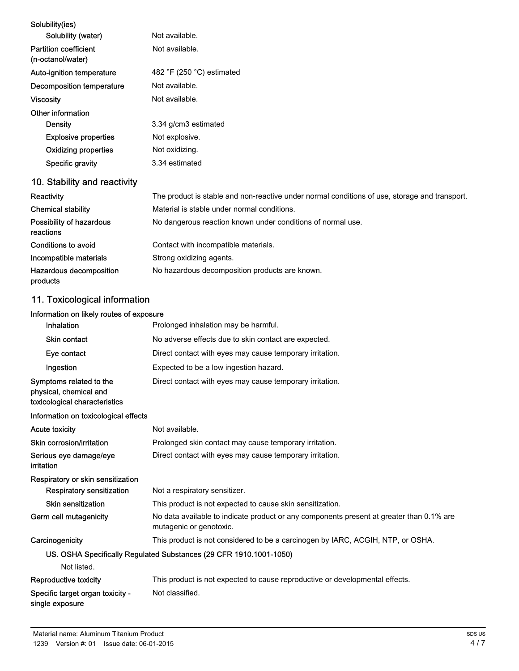| Solubility(ies)                                                                    |                                                                                               |
|------------------------------------------------------------------------------------|-----------------------------------------------------------------------------------------------|
| Solubility (water)                                                                 | Not available.                                                                                |
| <b>Partition coefficient</b><br>(n-octanol/water)                                  | Not available.                                                                                |
| Auto-ignition temperature                                                          | 482 °F (250 °C) estimated                                                                     |
| Decomposition temperature                                                          | Not available.                                                                                |
| <b>Viscosity</b>                                                                   | Not available.                                                                                |
| Other information                                                                  |                                                                                               |
| Density                                                                            | 3.34 g/cm3 estimated                                                                          |
| <b>Explosive properties</b>                                                        | Not explosive.                                                                                |
| <b>Oxidizing properties</b>                                                        | Not oxidizing.                                                                                |
| Specific gravity                                                                   | 3.34 estimated                                                                                |
| 10. Stability and reactivity                                                       |                                                                                               |
| Reactivity                                                                         | The product is stable and non-reactive under normal conditions of use, storage and transport. |
| <b>Chemical stability</b>                                                          | Material is stable under normal conditions.                                                   |
| Possibility of hazardous<br>reactions                                              | No dangerous reaction known under conditions of normal use.                                   |
| Conditions to avoid                                                                | Contact with incompatible materials.                                                          |
| Incompatible materials                                                             | Strong oxidizing agents.                                                                      |
| Hazardous decomposition<br>products                                                | No hazardous decomposition products are known.                                                |
| 11. Toxicological information                                                      |                                                                                               |
| Information on likely routes of exposure                                           |                                                                                               |
| Inhalation                                                                         | Prolonged inhalation may be harmful.                                                          |
| <b>Skin contact</b>                                                                | No adverse effects due to skin contact are expected.                                          |
| Eye contact                                                                        | Direct contact with eyes may cause temporary irritation.                                      |
| Ingestion                                                                          | Expected to be a low ingestion hazard.                                                        |
| Symptoms related to the<br>physical, chemical and<br>toxicological characteristics | Direct contact with eyes may cause temporary irritation.                                      |
| Information on toxicological effects                                               |                                                                                               |
| <b>Acute toxicity</b>                                                              | Not available.                                                                                |
| Skin corrosion/irritation                                                          | Prolonged skin contact may cause temporary irritation.                                        |

| Serious eye damage/eye            | Direct contact with eyes may cause temporary irritation.                                                            |
|-----------------------------------|---------------------------------------------------------------------------------------------------------------------|
| irritation                        |                                                                                                                     |
| Respiratory or skin sensitization |                                                                                                                     |
| Respiratory sensitization         | Not a respiratory sensitizer.                                                                                       |
| <b>Skin sensitization</b>         | This product is not expected to cause skin sensitization.                                                           |
| Germ cell mutagenicity            | No data available to indicate product or any components present at greater than 0.1% are<br>mutagenic or genotoxic. |
| Carcinogenicity                   | This product is not considered to be a carcinogen by IARC, ACGIH, NTP, or OSHA.                                     |
|                                   | US. OSHA Specifically Regulated Substances (29 CFR 1910.1001-1050)                                                  |
| Not listed.                       |                                                                                                                     |
|                                   |                                                                                                                     |

#### Reproductive toxicity This product is not expected to cause reproductive or developmental effects. Specific target organ toxicity single exposure Not classified.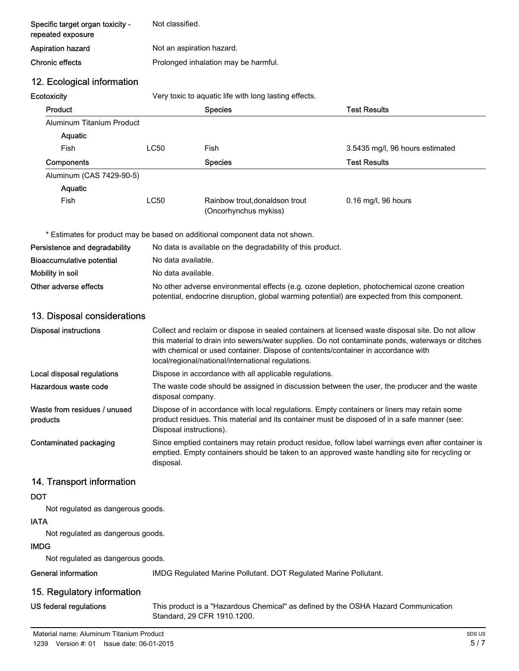| Specific target organ toxicity -<br>repeated exposure | Not classified.                      |
|-------------------------------------------------------|--------------------------------------|
| <b>Aspiration hazard</b>                              | Not an aspiration hazard.            |
| <b>Chronic effects</b>                                | Prolonged inhalation may be harmful. |

# 12. Ecological information

**Ecotoxicity Very toxic to aquatic life with long lasting effects.** 

| Product                   |      | <b>Species</b>                                          | <b>Test Results</b>             |
|---------------------------|------|---------------------------------------------------------|---------------------------------|
| Aluminum Titanium Product |      |                                                         |                                 |
| <b>Aquatic</b>            |      |                                                         |                                 |
| Fish                      | LC50 | Fish                                                    | 3.5435 mg/l, 96 hours estimated |
| Components                |      | <b>Species</b>                                          | <b>Test Results</b>             |
| Aluminum (CAS 7429-90-5)  |      |                                                         |                                 |
| Aquatic                   |      |                                                         |                                 |
| <b>Fish</b>               | LC50 | Rainbow trout, donaldson trout<br>(Oncorhynchus mykiss) | 0.16 mg/l, 96 hours             |

\* Estimates for product may be based on additional component data not shown.

| Persistence and degradability    | No data is available on the degradability of this product.                                                                                                                                 |  |
|----------------------------------|--------------------------------------------------------------------------------------------------------------------------------------------------------------------------------------------|--|
| <b>Bioaccumulative potential</b> | No data available.                                                                                                                                                                         |  |
| Mobility in soil                 | No data available.                                                                                                                                                                         |  |
| Other adverse effects            | No other adverse environmental effects (e.g. ozone depletion, photochemical ozone creation<br>potential, endocrine disruption, global warming potential) are expected from this component. |  |

### 13. Disposal considerations

| <b>Disposal instructions</b>             | Collect and reclaim or dispose in sealed containers at licensed waste disposal site. Do not allow<br>this material to drain into sewers/water supplies. Do not contaminate ponds, waterways or ditches<br>with chemical or used container. Dispose of contents/container in accordance with<br>local/regional/national/international regulations. |  |  |
|------------------------------------------|---------------------------------------------------------------------------------------------------------------------------------------------------------------------------------------------------------------------------------------------------------------------------------------------------------------------------------------------------|--|--|
| Local disposal regulations               | Dispose in accordance with all applicable regulations.                                                                                                                                                                                                                                                                                            |  |  |
| Hazardous waste code                     | The waste code should be assigned in discussion between the user, the producer and the waste<br>disposal company.                                                                                                                                                                                                                                 |  |  |
| Waste from residues / unused<br>products | Dispose of in accordance with local regulations. Empty containers or liners may retain some<br>product residues. This material and its container must be disposed of in a safe manner (see:<br>Disposal instructions).                                                                                                                            |  |  |
| Contaminated packaging                   | Since emptied containers may retain product residue, follow label warnings even after container is<br>emptied. Empty containers should be taken to an approved waste handling site for recycling or<br>disposal.                                                                                                                                  |  |  |

# 14. Transport information

# **DOT**

Not regulated as dangerous goods.

# IATA

Not regulated as dangerous goods.

# IMDG

Not regulated as dangerous goods.

General information **IMDG Regulated Marine Pollutant. DOT Regulated Marine Pollutant.** 

# 15. Regulatory information

US federal regulations

This product is a "Hazardous Chemical" as defined by the OSHA Hazard Communication Standard, 29 CFR 1910.1200.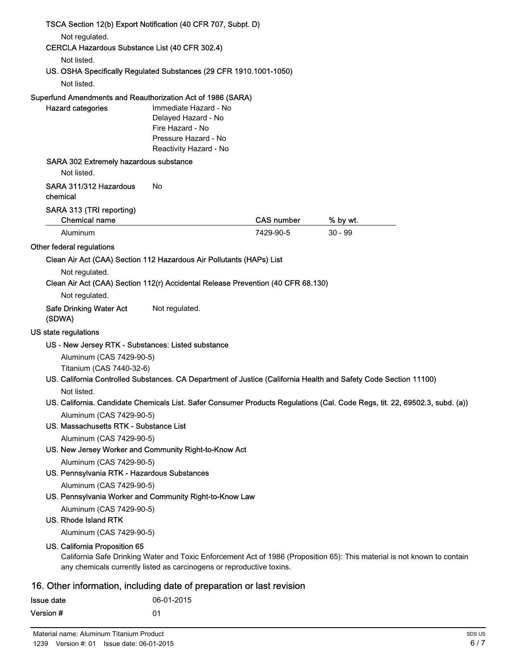|                                                                                         | TSCA Section 12(b) Export Notification (40 CFR 707, Subpt. D)                                                      |                   |                                                                                                                             |
|-----------------------------------------------------------------------------------------|--------------------------------------------------------------------------------------------------------------------|-------------------|-----------------------------------------------------------------------------------------------------------------------------|
| Not regulated.                                                                          |                                                                                                                    |                   |                                                                                                                             |
| CERCLA Hazardous Substance List (40 CFR 302.4)                                          |                                                                                                                    |                   |                                                                                                                             |
| Not listed.                                                                             |                                                                                                                    |                   |                                                                                                                             |
|                                                                                         | US. OSHA Specifically Regulated Substances (29 CFR 1910.1001-1050)                                                 |                   |                                                                                                                             |
| Not listed.                                                                             |                                                                                                                    |                   |                                                                                                                             |
| Superfund Amendments and Reauthorization Act of 1986 (SARA)<br><b>Hazard categories</b> | Immediate Hazard - No<br>Delayed Hazard - No<br>Fire Hazard - No<br>Pressure Hazard - No<br>Reactivity Hazard - No |                   |                                                                                                                             |
| SARA 302 Extremely hazardous substance<br>Not listed.                                   |                                                                                                                    |                   |                                                                                                                             |
| SARA 311/312 Hazardous<br>chemical                                                      | No                                                                                                                 |                   |                                                                                                                             |
| SARA 313 (TRI reporting)<br><b>Chemical name</b>                                        |                                                                                                                    | <b>CAS number</b> | % by wt.                                                                                                                    |
| Aluminum                                                                                |                                                                                                                    | 7429-90-5         | $30 - 99$                                                                                                                   |
| Other federal regulations                                                               |                                                                                                                    |                   |                                                                                                                             |
|                                                                                         | Clean Air Act (CAA) Section 112 Hazardous Air Pollutants (HAPs) List                                               |                   |                                                                                                                             |
| Not regulated.                                                                          |                                                                                                                    |                   |                                                                                                                             |
|                                                                                         | Clean Air Act (CAA) Section 112(r) Accidental Release Prevention (40 CFR 68.130)                                   |                   |                                                                                                                             |
| Not regulated.                                                                          |                                                                                                                    |                   |                                                                                                                             |
| Safe Drinking Water Act<br>(SDWA)                                                       | Not regulated.                                                                                                     |                   |                                                                                                                             |
| US state regulations                                                                    |                                                                                                                    |                   |                                                                                                                             |
| US - New Jersey RTK - Substances: Listed substance                                      |                                                                                                                    |                   |                                                                                                                             |
| Aluminum (CAS 7429-90-5)                                                                |                                                                                                                    |                   |                                                                                                                             |
| Titanium (CAS 7440-32-6)                                                                |                                                                                                                    |                   |                                                                                                                             |
|                                                                                         |                                                                                                                    |                   | US. California Controlled Substances. CA Department of Justice (California Health and Safety Code Section 11100)            |
| Not listed.                                                                             |                                                                                                                    |                   |                                                                                                                             |
|                                                                                         |                                                                                                                    |                   | US. California. Candidate Chemicals List. Safer Consumer Products Regulations (Cal. Code Regs, tit. 22, 69502.3, subd. (a)) |
| Aluminum (CAS 7429-90-5)                                                                |                                                                                                                    |                   |                                                                                                                             |
| US. Massachusetts RTK - Substance List                                                  |                                                                                                                    |                   |                                                                                                                             |
| Aluminum (CAS 7429-90-5)                                                                |                                                                                                                    |                   |                                                                                                                             |
| US. New Jersey Worker and Community Right-to-Know Act                                   |                                                                                                                    |                   |                                                                                                                             |
| Aluminum (CAS 7429-90-5)<br>US. Pennsylvania RTK - Hazardous Substances                 |                                                                                                                    |                   |                                                                                                                             |
|                                                                                         |                                                                                                                    |                   |                                                                                                                             |
| Aluminum (CAS 7429-90-5)                                                                | US. Pennsylvania Worker and Community Right-to-Know Law                                                            |                   |                                                                                                                             |
| Aluminum (CAS 7429-90-5)                                                                |                                                                                                                    |                   |                                                                                                                             |
| <b>US. Rhode Island RTK</b>                                                             |                                                                                                                    |                   |                                                                                                                             |
| Aluminum (CAS 7429-90-5)                                                                |                                                                                                                    |                   |                                                                                                                             |
| US. California Proposition 65                                                           |                                                                                                                    |                   |                                                                                                                             |
|                                                                                         | any chemicals currently listed as carcinogens or reproductive toxins.                                              |                   | California Safe Drinking Water and Toxic Enforcement Act of 1986 (Proposition 65): This material is not known to contain    |
| 16. Other information, including date of preparation or last revision                   |                                                                                                                    |                   |                                                                                                                             |
| <b>Issue date</b>                                                                       | 06-01-2015                                                                                                         |                   |                                                                                                                             |
|                                                                                         |                                                                                                                    |                   |                                                                                                                             |

Version # 01